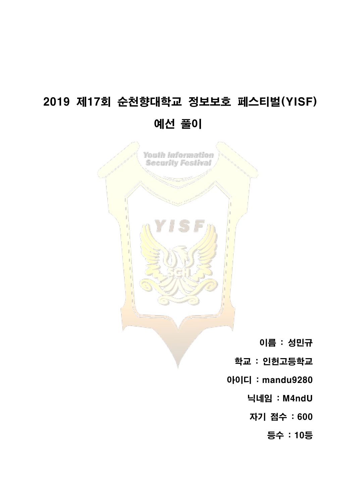# 2019 제17회 순천향대학교 정보보호 페스티벌(YISF) 예선 풀이

Youth Information **Security Festival** 

이름 : 성민규

학교 : 인헌고등학교

아이디 : mandu9280

닉네임 : M4ndU

자기 점수 : 600

등수 : 10등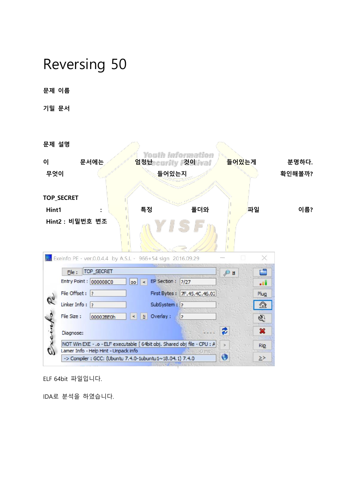# Reversing 50

문제 이름

기밀 문서

문제 설명

| 0<br>무엇이               | 문서에는                                                                                                             |                               | 들어있는지        | Youth Information<br>엄청난ecurity 것이 ival | 들어있는게                |      | 분명하다.<br>확인해볼까? |
|------------------------|------------------------------------------------------------------------------------------------------------------|-------------------------------|--------------|-----------------------------------------|----------------------|------|-----------------|
|                        | <b>TOP_SECRET</b>                                                                                                |                               |              |                                         |                      |      |                 |
| Hint1                  |                                                                                                                  |                               | 특정           | 폴더와                                     |                      | 파일   | 이름?             |
|                        | Hint2 : 비밀번호 변조                                                                                                  |                               |              |                                         |                      |      |                 |
|                        | Exeinfo PE - ver.0.0.4.4 by A.S.L - 966+54 sign 2016.09.29                                                       |                               |              |                                         |                      |      |                 |
|                        | TOP_SECRET<br>File:                                                                                              |                               |              |                                         | 户旦                   | Ē    |                 |
|                        | Entry Point : 000008C0                                                                                           | 00 <sub>1</sub><br>$\epsilon$ | EP Section : | ?127                                    |                      | ال . |                 |
| $\mathscr{C}_{\sigma}$ | File Offset : ?                                                                                                  |                               | First Bytes: | TF.45.4C.46.02                          |                      | Plug |                 |
|                        | Linker Info: $\sqrt{2}$                                                                                          |                               | SubSystem: ? |                                         |                      | ☎    |                 |
|                        | File Size :<br>00002BE0h                                                                                         | N<br>$\,<$                    | Overlay:     | $\overline{\cdot}$                      |                      | S.   |                 |
|                        | Diagnose:                                                                                                        |                               |              |                                         | €                    | ×    |                 |
|                        | NOT Win EXE - .o - ELF executable [ 64bit obj. Shared obj file - CPU : A<br>Lamer Info - Help Hint - Unpack info |                               |              | No. 10 ms.                              | $\geq$               | Rip  |                 |
|                        | -> Compiler : GCC: (Ubuntu 7.4.0-1ubuntu1~18.04.1) 7.4.0                                                         |                               |              |                                         | $\ddot{\bm{\theta}}$ | ≥>   |                 |
|                        |                                                                                                                  |                               |              |                                         |                      |      |                 |

ELF 64bit 파일입니다.

IDA로 분석을 하였습니다.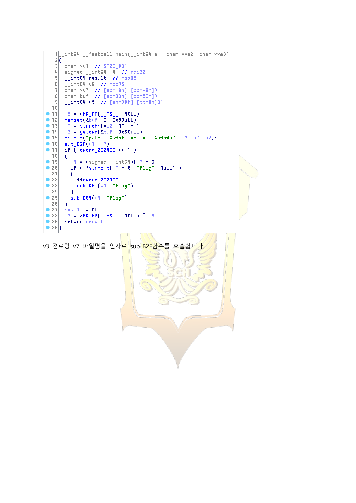```
\mathbf{1}\frac{1}{2}\overline{\mathbf{3}}char *v3; // ST20_8@1
    4signed _{-}int64 \nu4; // rdi@2
    \overline{5}__int64 result; // rax@5
        --int64 06; // rcx@5<br>char *07; // [sp+18h] [bp-A8h]@1<br>char buf; // [sp+30h] [bp-90h]@1
    \sqrt{6}\overline{1}\lvert \rvert__int64 u9; // [sp+B8h] [bp-8h]@1
   \overline{9}10u9 = *MK_FP(__FS__, 40LL);<br>memset(&buf, 0, 0x80uLL);
• 11-12• 1307 = strrchr(*a2, 47) + 1;-1403 = \text{getcwd}(\text{&}buf, 0 \times 80uLL);
        printf("path : %sumfilename : %sumbw", v3, v7, a2);<br>sub_B2F(v3, v7);
• 15-16•17if ( dword_20240C == 1 )18€
           04 = (signed \_int 64)(07 + 6);<br>if ( !strncmp(07 + 6, "Flag", 4uLL) )• 19•2021€
\bullet 22
             ++dword_20240C;
\bullet 23
             sub\_DET(v4, 'flag');
  24Þ
\bullet 25
           sub_D64(04, 'flag");
  26
        \mathcal{A}•27result = 0LL;\bullet 28
       06 = xMK_FP(__FS__, 40LL) ^ 09;
•29return result;
\bullet 30)
                                          ANN
```
v3 경로랑 v7 파일명을 인자<mark>로 sub B2F함수</mark>를 호출합니다.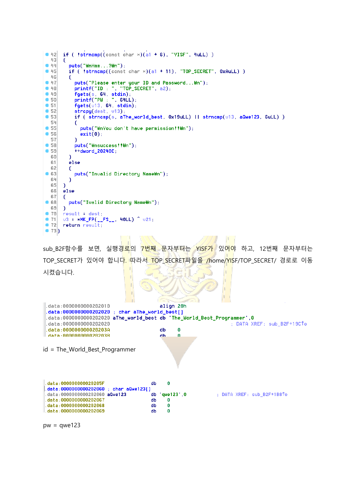```
if ( !strncmp((const char \ast)(a1 + 6), "YISF", 4uLL) )
94243
       -6
-44puts("whnHmm...?Wh");
• 45if ( 'strncmp((const char \times)(a1 + 11), "TOP_SECRET", 0xAuLL) )
  46
         Ŧ
-47puts("Please enter your ID and Password... \n");
           printf("ID: ", "TOP_SECRET", a2);
•48fgets(s, 64, stdin);<br>printf("PW : ", 64LL);
-49•50•51fgets(013, 64, stdin);•52\frac{1}{2} strcpy(dest, \frac{1}{3};
           if (strncmp(s, aThe_world_best, 0x19uLL) || strncmp(013, aQwe123, 6uLL) )
• 53
  54
           T
•55puts("\nYou don't have permission!!\n");
•56exit(0);57
           P)
           puts("\nsuccess!!\n");
● 58
•59+ + dword_20240C;
  60
         3
         else
  6162
         \epsilonputs("Invalid Directory Name\n");
● 63
  64\overline{\phantom{a}}65
       n
  66
      else
  67
       €
● 68
         puts("Ivalid Directory Name\n");
  69
       P
       result dest;
•70•7103 = xMK_FP(__FS__, 40LL) ^ 021;
•72return result;
\bullet 73)
```
sub\_B2F함수를 보면, 실행경<mark>로</mark>의 <mark>7번째 문자부터는 YISF가</mark> 있어야 하고, 12번째 문자부터는 TOP\_SECRET가 있어야 합니다. 따라서 TOP\_SECRET파일을 /home/YISF/TOP\_SECRET/ 경로로 이동 시켰습니다.

```
data:0000000000202010align 20h
 data:0000000000202020 ; char aThe_world_best[]
 data:0000000000202020 aThe_world_best db 'The_World_Best_Programmer',0
 data:000000000202020
                                                                      ; DATA XREF: sub_B2F+19CTo
 data:00000000020203A
                                                  \thetadb
 data 000000000020203R
                                            d<sub>b</sub>A
id = The_World_Best_Programmer
 data:000000000020205F
                                        db\Omegadata:0000000000202060 ; char aQwe123[]
                                            qwe1231,0
 data:0000000000202060 aQwe123
                                        db: DATA XREF: sub_B2F+1B8To
 data:0000000000202067
                                        dh
                                              \Omegadata:0000000000202068
                                        db\pmb{0}data:0000000000202069
                                        db\theta
```

```
pw = qwe123
```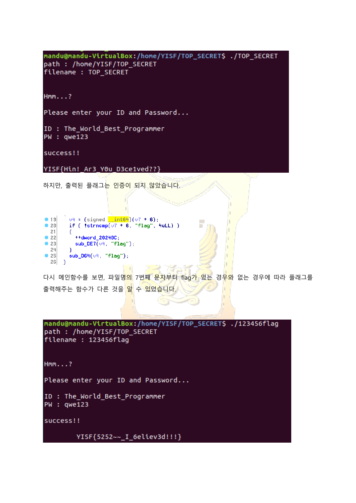mandu@mandu-VirtualBox:/home/YISF/TOP\_SECRET\$ ./TOP\_SECRET path : /home/YISF/TOP\_SECRET filename : TOP SECRET

 $Hmm...?$ 

Please enter your ID and Password...

ID : The World Best Programmer PW : qwe123

success!!

YISF{Hin! Ar3 Y0u D3ce1ved??}

하지만, 출력된 플래그는 인증이 되지 않았습니다.

| 19           | -<br>$04 = (signal \_int64)(07 + 6);$        |
|--------------|----------------------------------------------|
| •20          | if $($ !strncmp $(v7 + 6,$ "flag", 4uLL) $)$ |
| 21           |                                              |
| $\bullet$ 22 | ++dword 20240C:                              |
| $\bullet$ 23 | sub $DE7(v4, "flag")$ :                      |
| 24           |                                              |
| 25           | $sub\_DB4(v4, "flag")$ ;                     |
| 26           |                                              |

다시 메인함수를 보면, 파일명<mark>의</mark> 7번<mark>째 문자부터 flag가 있는</mark> 경<mark>우와</mark> 없는 경우에 따라 플래그를 출력해주는 함수가 다른 것을 <mark>알</mark> 수 있었습니다.

 $\mathbb{R}$   $\rightarrow$ 

ر ب

```
mandu@mandu-VirtualBox:/home/YISF/TOP_SECRET$ ./123456flag
path : /home/YISF/TOP SECRET
filename : 123456flag
Hmm...?Please enter your ID and Password...
ID : The World Best Programmer
PW : qwe123
success!!
        YISF{5252~~_I_6eliev3d!!!}
```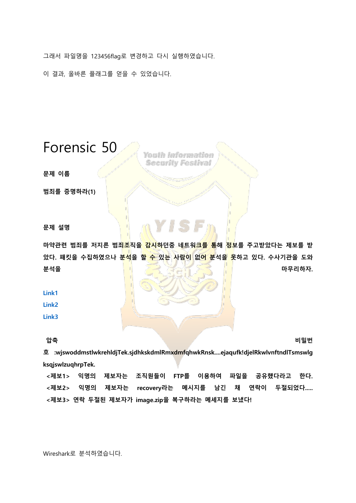그래서 파일명을 123456flag로 변경하고 다시 실행하였습니다.

이 결과, 올바른 플래그를 얻을 수 있었습니다.

#### Forensic 50

Youth Information **Security Festival** 

문제 이름

범죄를 증명하라(1)

문제 설명

마약관련 범죄를 저지른 범죄조직을 감시하던중 네트워크를 통해 정보를 주고받았다는 제보를 받 았다. 패킷을 수집하였으나 분<mark>석</mark>을 할 <del>수</del> 있는 사람이 없어 분석을 못하고 있다. 수사기관을 도와 분석을 가지고 아니라 그 사람들은 아이들에게 아무리하자.

[Link1](https://www.dropbox.com/s/76hj87unrg77h0e/YISF50.zip?dl=0)

[Link2](https://www.dropbox.com/s/a5blh8f7l6ix5ng/YISF50.zip?dl=0)

[Link3](https://drive.google.com/open?id=1JRiOgyldXTKZYO7rYksrwBtsh4qDdypr)

압축 비밀번

호 :wjswoddmstlwkrehldjTek.sjdhkskdmlRmxdmfqhwkRnsk....ejaqufk!djelRkwlvnftndlTsmswlg ksqjswlzuqhrpTek.

<제보1> 익명의 제보자는 조직원들이 FTP를 이용하여 파일을 공유했다라고 한다. <제보2> 익명의 제보자는 recovery라는 메시지를 남긴 채 연락이 두절되었다..... <제보3> 연락 두절된 제보자가 image.zip을 복구하라는 메세지를 보냈다!

Wireshark로 분석하였습니다.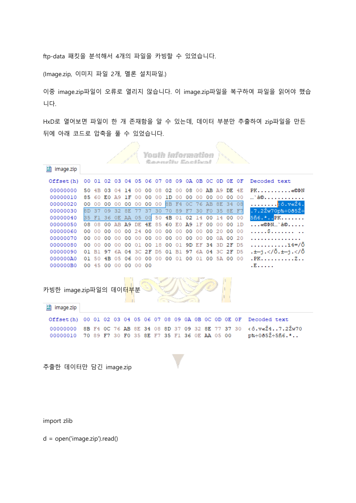ftp-data 패킷을 분석해서 4개의 파일을 카빙할 수 있었습니다.

(Image.zip, 이미지 파일 2개, 멜론 설치파일.)

이중 image.zip파일이 오류로 열리지 않습니다. 이 image.zip파일을 복구하여 파일을 읽어야 했습 니다.

HxD로 열어보면 파일이 한 개 존재함을 알 수 있는데, 데이터 부분만 추출하여 zip파일을 만든 뒤에 아래 코드로 압축을 풀 수 있었습니다.

|                                       |    |                |             |                   |     |                 |    |    |          |    |                | <b>Youth Information</b><br>Socurity Eactival |                               |          |          |       |                                  |
|---------------------------------------|----|----------------|-------------|-------------------|-----|-----------------|----|----|----------|----|----------------|-----------------------------------------------|-------------------------------|----------|----------|-------|----------------------------------|
| $\frac{50}{60}$<br>image.zip          |    |                |             |                   |     |                 |    |    |          |    |                |                                               |                               |          |          |       |                                  |
| Offset (h)                            | 00 | 01             |             | 02 03 04 05       |     |                 |    |    |          |    |                |                                               | 06 07 08 09 0A 0B 0C 0D 0E 0F |          |          |       | Decoded text                     |
| 00000000                              | 50 | 4 <sub>B</sub> | 03          | 04                | 14  | o٥              | 00 | 08 | 02       | o٥ | oз             | 00.                                           | AВ                            | A 9      |          | DE 4E | PK«©ÞN                           |
| 00000010                              | 85 | 60             | EО          | A 9               | 1 F | 00              | 00 | 00 | 1D       | 00 | 00             | 00                                            | 00                            | 00       |          | 00 00 | …`à©                             |
| 00000020                              | 00 | 00             | 00          | 00                | 00  | 00              | 00 | 00 | 8B       | F4 | 0 <sup>C</sup> | 76                                            | AB                            | 8E       | 34       | 08    | <mark>.ô.v«Ž4</mark> .           |
| 00000030                              | 8D | 37             | 09          | 32                | 8E  | 77              | 37 | 30 | 70       | 89 | - F7           |                                               | 30 FO                         | 35 8E F7 |          |       | .7.2Žw70p‱÷0ð5Ž∙                 |
| 00000040                              | 35 | F1             |             | 36 OE AA 05 00    |     |                 |    | 50 | 4B       | 01 | 02             |                                               | 14 00                         | 14       |          | 00 00 | 5ñ6. <sup>2</sup> PK.            |
| 00000050                              | 08 | 08             |             | 00 AB A9          |     | DE              | 4E | 85 | 60       | E0 | A9             | 1F                                            | 00                            | 00       | 00       | 1D    | «©ÞN…`à©.                        |
| 00000060                              | 00 | 00             | 00          | 00                | 00  | 24              | 00 | 00 | 00       | 00 | 00             | 00                                            | 00                            | 20       |          | 00 00 | . S                              |
| 00000070                              | 00 | 00             | 00          | 00                | 00  | 00              | 00 | 00 | 00       | 00 | 00             | 00                                            | 00                            |          | 0A 00 20 |       |                                  |
| 00000080                              | 00 | 00             | 00          | 00                | 00  | 01              | 00 | 18 | 00       | 01 | 9D             | ΕF                                            | 34                            | 3D       |          | 2F D5 | $\ldots \ldots$ $14 = 70$        |
| 00000090                              | 01 | в1             | 97          | 6A                | 04  | зс              | 2F | D5 | 01       | в1 | 97             | 6А                                            | 04                            | зс       |          | 2F D5 | .±—j. Õ.±—j.</Õ</td              |
| 000000A0                              | 01 | 50             | 4B          | 05                | 06  | 00              | 00 |    | 00 00 01 |    | 00             | 01                                            | 00                            |          | 5A 00 00 |       | .PK. Z. .                        |
| 000000B0                              |    |                | 00 45 00 00 |                   | 00  | 00 <sub>1</sub> | 00 |    |          |    |                |                                               |                               |          |          |       | $E_{1}$ .                        |
| 카빙한 image.zip파일의 데이터 <mark>부</mark> 분 |    |                |             |                   |     |                 |    |    |          |    |                |                                               |                               |          |          |       |                                  |
|                                       |    |                |             |                   |     |                 |    |    |          |    |                |                                               |                               |          |          |       |                                  |
| $F_8^p$<br>image.zip                  |    |                |             |                   |     |                 |    |    |          |    |                |                                               |                               |          |          |       |                                  |
| Offset(h)                             | 00 | 01             | 02 03       |                   | 04  | 05              | 06 | 07 | 08       | 09 | OA OB          |                                               | OC OD                         |          | OE OF    |       | Decoded text                     |
| 00000000                              | 8B | FA             | оc          | 76                | ΆB  | 8F.             | 34 | oв | 8D       | 37 | 09             | 32                                            | 8Ε                            | 77       | 37 30    |       | $\langle$ ô. $\nabla$ «Ž47.2Žw70 |
| 00000010                              |    | 7089           |             | F7 30 F0 35 8E F7 |     |                 |    |    |          |    |                |                                               | 35 F1 36 OE AA 05 00          |          |          |       | p%÷0ð5Ž÷5ñ6.ª                    |

import zlib

d = open('image.zip').read()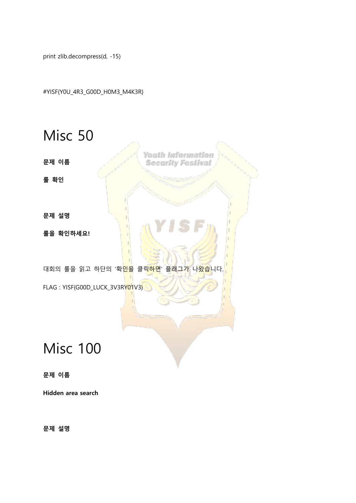print zlib.decompress(d, -15)

#YISF{Y0U\_4R3\_G00D\_H0M3\_M4K3R}

Misc 50 Youth Information 문제 이름 **Security Festival** 룰 확인 문제 설명 룰을 확인하세요! 대회의 룰을 읽고 하단의 '확<mark>인을</mark> 클릭<mark>하면</mark>' 플래그가 나<del>왔습</del>니다. FLAG: YISF{G00D\_LUCK\_3V3RY01V3}

## Misc 100

문제 이름

Hidden area search

문제 설명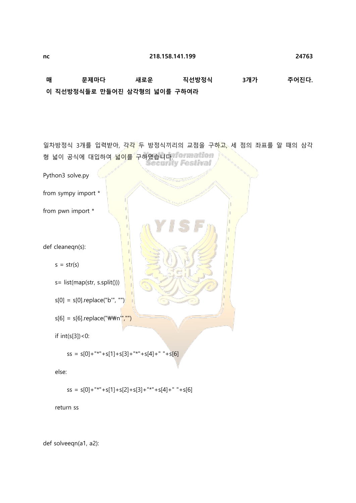매 문제마다 새로운 직선방정식 3개가 주어진다. 이 직선방정식들로 만들어진 삼각형의 넓이를 구하여라

일차방정식 3개를 입력받아, 각각 두 방정식끼리의 교점을 구하고, 세 점의 좌표를 알 때의 삼각 형 넓이 공식에 대입하여 넓<mark>이를 구하였습니다. formation</mark><br>Security Festival Python3 solve.py from sympy import \* from pwn import \* def cleaneqn(s):  $s = str(s)$  s= list(map(str, s.split()))  $s[0] = s[0]$ .replace("b", "")  $s[6] = s[6]$ .replace("\\m'","") if int(s[3])<0:  $ss = s[0] +$ "\*"+s[1]+s[3]+"\*"+s[4]+" "+s[6] else:  $ss = s[0]+$ "\*"+s[1]+s[2]+s[3]+"\*"+s[4]+" "+s[6] return ss

def solveeqn(a1, a2):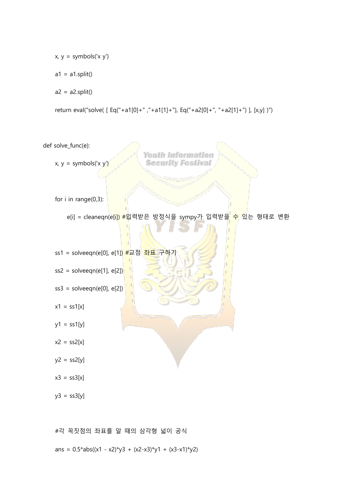$x, y =$  symbols('x y')

 $a1 = a1.split()$ 

 $a2 = a2.split()$ 

return eval("solve( [ Eq("+a1[0]+" ,"+a1[1]+"), Eq("+a2[0]+", "+a2[1]+") ], [x,y] )")

def solve\_func(e):

 $x, y =$  symbols('x y')

Youth Information **Security Festival** 

for i in range(0,3):

e[i] = cleaneqn(<mark>e[i]) #</mark>입력받은 방정식을 sympy가 입력받을 수 있는 형태로 변환

ss1 = solveeqn(e[0], e[1]) #교점 좌표 구하기

 $ss2 = solveeqn(e[1], e[2])$ 

$$
ss3 = solveeqn(e[0], e[2])
$$

- $x1 = ss1[x]$
- $y1 = ss1[y]$

 $x2 = ss2[x]$ 

 $y2 = ss2[y]$ 

 $x3 = ss3[x]$ 

 $y3 = ss3[y]$ 

#각 꼭짓점의 좌표를 알 때의 삼각형 넓이 공식

ans =  $0.5*abs((x1 - x2)*y3 + (x2-x3)*y1 + (x3-x1)*y2)$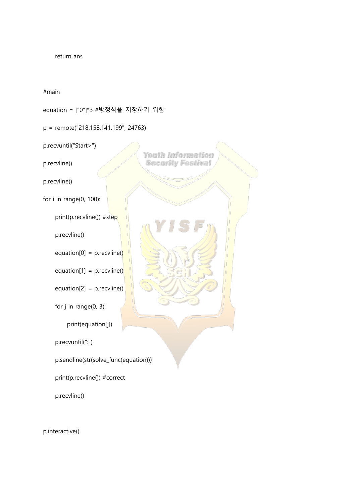return ans

#main

equation = ["0"]\*3 #방정식을 저장하기 위함

p = remote("218.158.141.199", 24763)

p.recvuntil("Start>")

p.recvline()

p.recvline()

for i in range(0, 100):

print(p.recvline()) #step

p.recvline()

equation[0] = p.recvline()

equation[1] =  $p$ .recvline()

 $equation[2] = p.recoline()$ 

for j in range(0, 3):

print(equation[j])

p.recvuntil(":")

p.sendline(str(solve\_func(equation)))

print(p.recvline()) #correct

p.recvline()

Youth Information **Security Festival** 

p.interactive()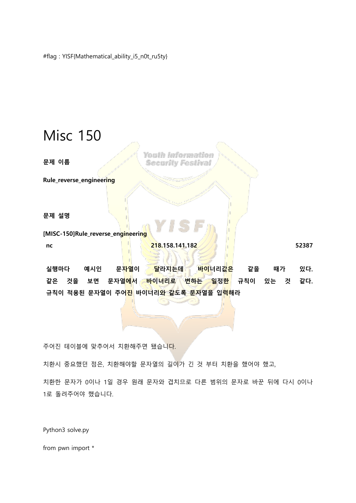### Misc 150

문제 이름

Youth Information **Security Festival** 

Rule\_reverse\_engineering

문제 설명

[MISC-150]Rule\_reverse\_engineering nc 218.158.141.182  $\frac{218.158.141.182}{218.158.141.182}$ 

실행마다 예시인 문<mark>자열이 달라지는데 바이</mark>너리값<mark>은</mark> 같을 때가 있다. 같은 것을 보면 문자열<mark>에서 바이너리로 변하는 일</mark>정<mark>한</mark> 규칙이 있는 것 같다. 규칙이 적용된 문자열이 주어진 바이너리와 같도록 문자열을 입력해라

주어진 테이블에 맞추어서 치환해주면 됐습니다.

치환시 중요했던 점은, 치환해야할 문자열의 길이가 긴 것 부터 치환을 했어야 했고,

치환한 문자가 0이나 1일 경우 원래 문자와 겹치므로 다른 범위의 문자로 바꾼 뒤에 다시 0이나 1로 돌려주어야 했습니다.

Python3 solve.py

from pwn import \*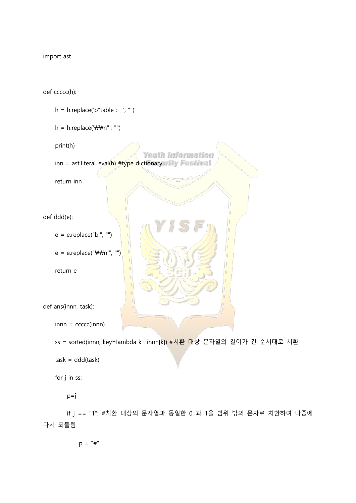import ast

def ccccc(h):

 $h = h$ .replace('b"table : ', "")  $h = h$ .replace('\\m"', "") print(h) Youth Information inn = ast.literal\_eval(h) #type dictionary West Ival return inn def ddd(e): e = e.replace("b'", "")  $e = e$ .replace("\\m'", "") return e def ans(innn, task):  $in$ nn =  $ccccc(in)$ 

 ss = sorted(innn, key=lambda k : innn[k]) #치환 대상 문자열의 길이가 긴 순서대로 치환  $task = ddd(task)$ 

for j in ss:

 $p=j$ 

 if j == "1": #치환 대상의 문자열과 동일한 0 과 1을 범위 밖의 문자로 치환하여 나중에 다시 되돌림

 $p = "#"$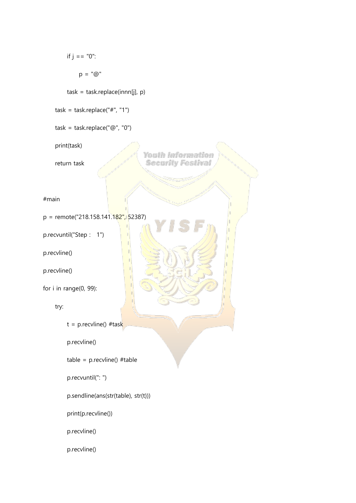```
if j = 0":
             p = "@" task = task.replace(innn[j], p)
    task = task.replace("#", "1")
     task = task.replace("@", "0")
     print(task)
                                       Youth Information
     return task
                                       Security Festival
#main
p = remote("218.158.141.182", 52387)
p.recvuntil("Step : 1")
p.recvline()
p.recvline()
for i in range(0, 99):
     try:
         t = p.recvline() #task
          p.recvline()
         table = p.recvline() #table
          p.recvuntil(": ")
          p.sendline(ans(str(table), str(t)))
          print(p.recvline())
          p.recvline()
          p.recvline()
```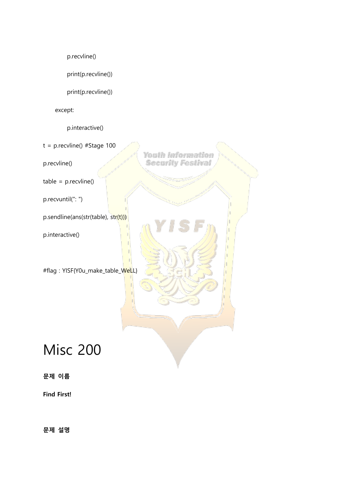p.recvline()

print(p.recvline())

print(p.recvline())

except:

p.interactive()

t = p.recvline() #Stage 100

p.recvline()

 $table = p.recylinder()$ 

p.recvuntil(": ")

p.sendline(ans(str(table), str(t)))

p.interactive()

#flag : YISF{Y0u\_make\_table\_WeLL}

## Misc 200

문제 이름

Find First!

문제 설명

Youth Information **Security Festival**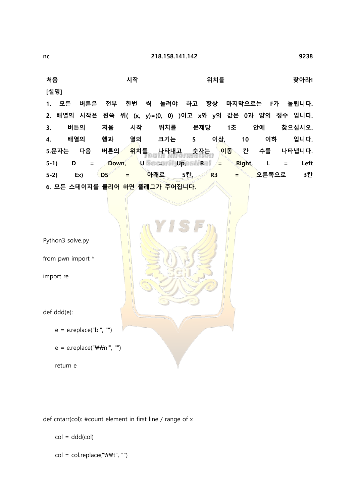처음 기억 기억 시작 시작 이 위치를 가지 않아라!

[설명]

1. 모든 버튼은 전부 한번 씩 눌려야 하고 항상 마지막으로는 F가 눌립니다. 2. 배열의 시작은 왼쪽 위( (x, y)=(0, 0) )이고 x와 y의 값은 0과 양의 정수 입니다. 3. 버튼의 처음 시작 위치를 문제당 1초 안에 찾으십시오. 4. 배열의 행과 열의 크기는 5 이상, 10 이하 입니다. 5.문자는 다음 버튼의 <mark>위치를 나타내고 숫자는 이동</mark> 칸 수를 나타냅니다. 5-1) D = Down, U Securrity Upestinal  $\frac{1}{2}$  Right, L = Left 5-2) Ex) D5 = 아래로 5칸, R3 = 오른쪽으로 3칸 6. 모든 스테이지를 클리어 하면 플래그가 주어집니다.

Python3 solve.py

from pwn import \*

import re

def ddd(e):

```
e = e.replace("b", "")
```
 $e = e$ .replace("\\m'", "")

return e

def cntarr(col): #count element in first line / range of x

 $col = ddd(col)$ 

 $col = col.replace("WWt", "")$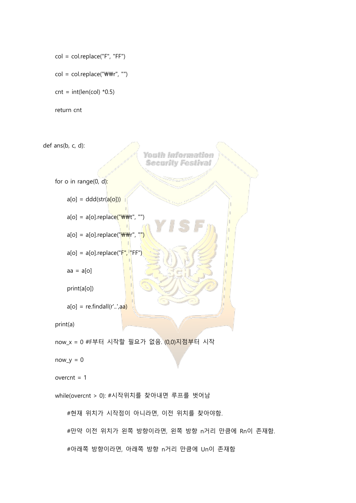```
 col = col.replace("F", "FF")
```
 $col = col.replace("WWr", "")$ 

 $cnt = int(len,col) *0.5)$ 

return cnt

def ans(b, c, d):

Youth Information **Security Festival** 

for o in range(0, d):

 $a[o] = ddd(str(a[o]))$ 

 $a[o] = a[o].replace("WWWt", "")$ 

 $a[o] = a[o].replace("WWr", "")$ 

```
a[o] = a[o].replace("F", "FF")
```

```
aa = a[0]
```
print(a[o])

```
a[0] = \text{re.findall}(r'..,aa)
```
print(a)

now\_x = 0 #F부터 시작할 필요가 없음. (0,0)지점부터 시작

 $now_y = 0$ 

```
overcnt = 1
```
while(overcnt > 0): #시작위치를 찾아내면 루프를 벗어남

#현재 위치가 시작점이 아니라면, 이전 위치를 찾아야함.

#만약 이전 위치가 왼쪽 방향이라면, 왼쪽 방향 n거리 만큼에 Rn이 존재함.

#아래쪽 방향이라면, 아래쪽 방향 n거리 만큼에 Un이 존재함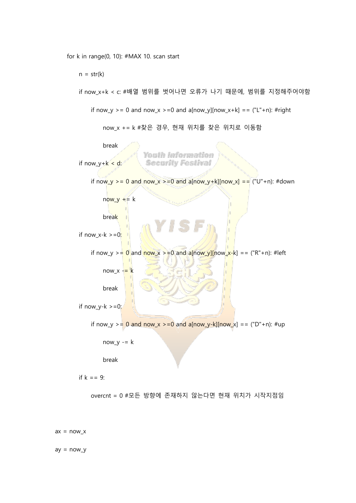for k in range(0, 10): #MAX 10. scan start

 $n = str(k)$ 

```
if now_y > = 0 and now_x > = 0 and a[now_y][now_x+k] = = ("L" + n): #right
         now_x += k #찾은 경우, 현재 위치를 찾은 위치로 이동함
         break
                      Youth Information
if now_y+k < d:
                       Security Festival
    if now_y > = 0 and now_x > = 0 and a[now_y+k][now_x] = = ("U"+n): #down
        now_y += k break
if now x-k \ge 0:
    if now_y > = \frac{0}{2} and \frac{new_x}{x} > = 0 and a[now_y][now_x-k] = = ("R"+n): #left
        now_x -\ge k break
if now_y-k \geq 0:
    if now_y > = 0 and now_x > = 0 and a[now_y-k][now_x] = = ("D"+n): #up
        now_y = k
```
if now x+k < c: #배열 범위를 벗어나면 오류가 나기 때문에, 범위를 지정해주어야함

break

if  $k == 9$ :

overcnt = 0 #모든 방향에 존재하지 않는다면 현재 위치가 시작지점임

 $ax = now_x$ 

 $ay = now_y$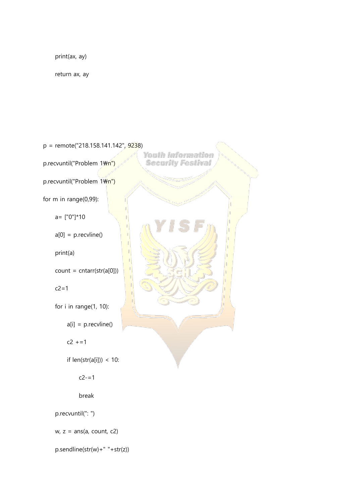print(ax, ay)

return ax, ay

p = remote("218.158.141.142", 9238) Youth Information p.recvuntil("Problem 1\m") **Security Festival** p.recvuntil("Problem 1\m") for m in range(0,99): a= ["0"]\*10  $a[0] = p$ .recvline() print(a)  $count = \text{cntar}(\text{str}(a[0]))$  $c2=1$  for i in range(1, 10):  $a[i] = p$ .recvline()  $c2 + 1$ if  $len(str(a[i])) < 10$ :  $c2 - 1$  break p.recvuntil(": ")  $w, z = ans(a, count, c2)$ 

p.sendline(str(w)+" "+str(z))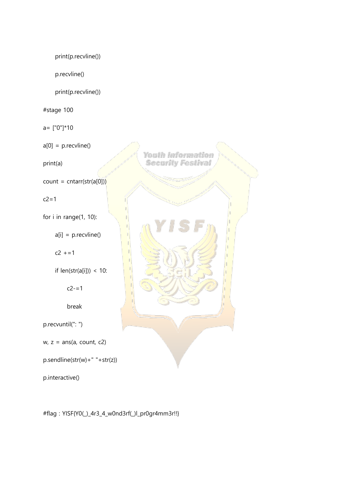print(p.recvline()) p.recvline() print(p.recvline()) #stage 100 a= ["0"]\*10  $a[0] = p$ .recvline() print(a)  $count = \text{cntar}(\text{str}(a[0]))$  $c2=1$ for i in range(1, 10):  $a[i] = p$ .recvline()  $c2 + 1$ if  $len(str(a[i])) < 10$ :  $c2 - 1$  break p.recvuntil(": ")  $w, z = ans(a, count, c2)$ p.sendline(str(w)+" "+str(z)) p.interactive()

#flag : YISF{Y0(\_)\_4r3\_4\_w0nd3rf(\_)l\_pr0gr4mm3r!!}

Youth Information **Security Festival**